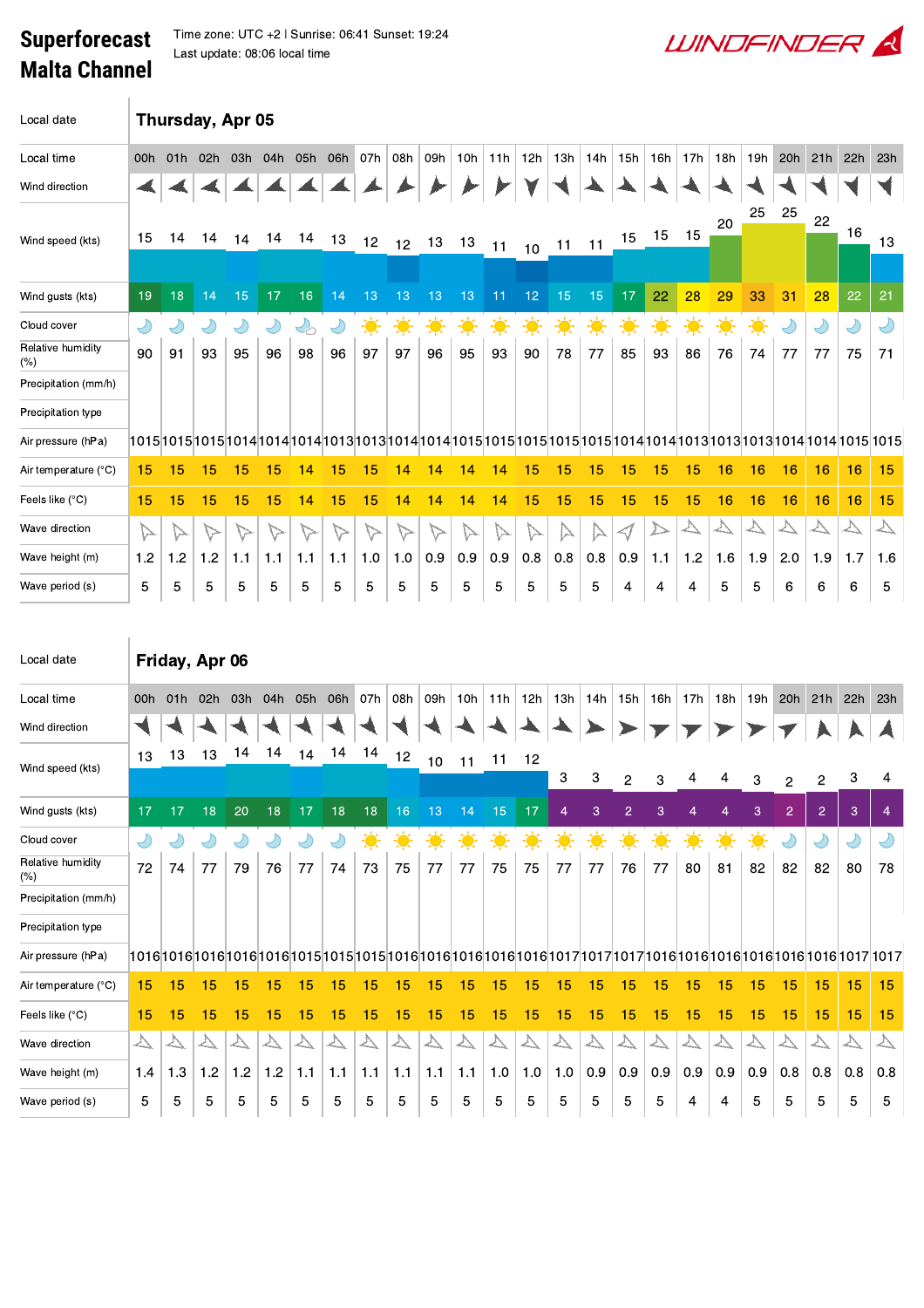## Superforecast Malta Channel

 $\text{Lap}$  Time zone: UTC +2 | Sunrise: 06:41 Sunset: 19:24 Last update: 08:06 local time

| Local date                  | Thursday, Apr 05  |                   |                   |                   |                   |                                   |                   |                   |                   |                   |                   |                   |                   |                   |                   |                  |                           |                   |                   |                             |                   |                   |                   |                   |
|-----------------------------|-------------------|-------------------|-------------------|-------------------|-------------------|-----------------------------------|-------------------|-------------------|-------------------|-------------------|-------------------|-------------------|-------------------|-------------------|-------------------|------------------|---------------------------|-------------------|-------------------|-----------------------------|-------------------|-------------------|-------------------|-------------------|
| Local time                  | 00h               | 01h               | 02h               | 03h               | 04h               | 05h                               | 06h               | 07h               | 08h               | 09h               | 10h               | 11h               | 12h               | 13h               | 14h               | 15h              | 16h                       | 17h               | 18h               | 19h                         | 20h               | 21h               | 22h               | 23h               |
| Wind direction              |                   |                   |                   |                   |                   |                                   |                   |                   |                   |                   |                   |                   |                   |                   |                   |                  |                           |                   |                   |                             |                   |                   |                   |                   |
|                             |                   |                   |                   |                   |                   |                                   |                   |                   |                   |                   |                   |                   |                   |                   |                   |                  |                           |                   | 20                | 25                          | 25                | 22                |                   |                   |
| Wind speed (kts)            | 15                | 14                | 14                | 14                | 14                | 14                                | 13                | 12                | 12                | 13                | 13                | 11                | 10                | $11 - 11$         |                   | 15               | 15                        | 15                |                   |                             |                   |                   | 16                | 13                |
| Wind gusts (kts)            | 19                | 18                | 14                | 15                | 17                | 16                                | 14                | 13                | 13                | 13                | 13                | 11                | 12 <sub>2</sub>   | 15                | 15                | 17               | 22                        | 28                | 29                | 33                          | 31                | 28                | 22                | 21                |
| Cloud cover                 | $\bigcirc$        | Ÿ                 | $\bigcirc$        | Y                 | $\bigcirc$        | $\mathcal{L}_{\circlearrowright}$ | $\bigcirc$        | $\ddot{\bullet}$  | 美                 | $\ddot{\bullet}$  | $\frac{1}{2}$     | 美                 | 美                 | $\ddot{\bullet}$  | $\ddot{\bullet}$  | $\ddot{\bullet}$ | $\frac{1}{2}$             | 美                 | 美                 | $\frac{1}{\sqrt{2}}$        | Y                 | $\bigcup$         | Y                 | $\bigcirc$        |
| Relative humidity<br>$(\%)$ | 90                | 91                | 93                | 95                | 96                | 98                                | 96                | 97                | 97                | 96                | 95                | 93                | 90                | 78                | 77                | 85               | 93                        | 86                | 76                | 74                          | 77                | 77                | 75                | 71                |
| Precipitation (mm/h)        |                   |                   |                   |                   |                   |                                   |                   |                   |                   |                   |                   |                   |                   |                   |                   |                  |                           |                   |                   |                             |                   |                   |                   |                   |
| Precipitation type          |                   |                   |                   |                   |                   |                                   |                   |                   |                   |                   |                   |                   |                   |                   |                   |                  |                           |                   |                   |                             |                   |                   |                   |                   |
| Air pressure (hPa)          |                   |                   |                   |                   |                   |                                   |                   |                   |                   |                   |                   |                   |                   |                   |                   |                  |                           |                   |                   |                             |                   |                   |                   |                   |
| Air temperature (°C)        | 15                | 15                | 15                | 15                | 15                | 14                                | 15                | 15                | 14                | 14                | 14                | 14                | 15                | 15                | 15                | 15               | 15                        | 15                | 16                | 16                          | 16                | 16                | 16                | 15                |
| Feels like (°C)             | 15                | 15                | 15                | 15                | 15                | 14                                | 15                | 15                | 14                | 14                | 14                | 14                | 15                | 15                | 15                | 15               | 15                        | 15                | 16                | 16                          | 16                | 16                | 16                | 15                |
| Wave direction              | $\triangleright$  | ⊳                 | $\triangleright$  | ▽                 | ▽                 | $\triangleright$                  | ⊳                 | ∨≻                | $\triangleright$  | $\triangleright$  | ∖∼                | ▷                 | 1ブ                | ▷                 |                   | ⊲/               | ⊵                         |                   |                   | $\overline{\triangleright}$ | $\triangleright$  |                   | $\overline{\vee}$ | $\overline{\vee}$ |
| Wave height (m)             | 1.2               | 1.2               | 1.2               | 1.1               | 1.1               | 1.1                               | 1.1               | 1.0               | 1.0               | 0.9               | 0.9               | 0.9               | 0.8               | 0.8               | 0.8               | 0.9              | 1.1                       | 1.2               | 1.6               | 1.9                         | 2.0               | 1.9               | 1.7               | 1.6               |
| Wave period (s)             | 5                 | 5                 | 5                 | 5                 | 5                 | 5                                 | 5                 | 5                 | 5                 | 5                 | 5                 | 5                 | 5                 | 5                 | 5                 | 4                | 4                         | 4                 | 5                 | 5                           | 6                 | 6                 | 6                 | 5                 |
|                             |                   |                   |                   |                   |                   |                                   |                   |                   |                   |                   |                   |                   |                   |                   |                   |                  |                           |                   |                   |                             |                   |                   |                   |                   |
| Local date                  |                   | Friday, Apr 06    |                   |                   |                   |                                   |                   |                   |                   |                   |                   |                   |                   |                   |                   |                  |                           |                   |                   |                             |                   |                   |                   |                   |
| Local time                  | 00h               | 01h               | 02h               | 03h               | 04h               | 05h                               | 06h               | 07h               | 08h               | 09h               | 10h               | 11h               | 12h               | 13h               | 14h               | 15h              | 16h                       | 17h               | 18h               | 19h                         | 20h               | 21h               | 22h               | 23h               |
| Wind direction              |                   |                   |                   |                   |                   |                                   |                   |                   |                   |                   |                   |                   |                   |                   |                   |                  |                           |                   |                   |                             |                   |                   |                   |                   |
|                             | 13                | 13                | 13                | 14                | 14                | 14                                | 14                | 14                | 12                | 10                | 11                | 11                | 12                |                   |                   |                  |                           |                   |                   |                             |                   |                   |                   |                   |
| Wind speed (kts)            |                   |                   |                   |                   |                   |                                   |                   |                   |                   |                   |                   |                   |                   | 3                 | 3                 | 2                | 3                         |                   |                   | 3                           | 2                 | 2                 | 3                 | 4                 |
| Wind gusts (kts)            | 17                | 17                | 18                | 20                | 18                | 17                                | 18                | 18                | 16                | 13                | 14                | 15                | 17                | 4                 | 3                 | $\overline{c}$   | $\ensuremath{\mathsf{3}}$ | $\overline{4}$    | $\overline{4}$    | 3                           | $\overline{2}$    | $\overline{2}$    | 3                 | $\overline{4}$    |
| Cloud cover                 | $\bigcirc$        | $\bigcirc$        | $\bigcirc$        | $\bigcirc$        | $\bigcirc$        | $\bigcirc$                        | $\bigcirc$        | $\ddot{\bullet}$  | 美                 | ☀                 | $\ddot{\bullet}$  | 美                 | 美                 | $\ddot{\bullet}$  | 美                 | 美                | 美                         | 美                 | $\ddot{\bullet}$  | $\ddot{\bullet}$            | Y                 | $\bigcirc$        | $\bigcirc$        | $\bigcirc$        |
| Relative humidity<br>(%)    | 72                | 74                | 77                | 79                | 76                | 77                                | 74                | 73                | 75                | 77                | 77                | 75                | 75                | 77                | 77                | 76               | 77                        | 80                | 81                | 82                          | 82                | 82                | 80                | 78                |
| Precipitation (mm/h)        |                   |                   |                   |                   |                   |                                   |                   |                   |                   |                   |                   |                   |                   |                   |                   |                  |                           |                   |                   |                             |                   |                   |                   |                   |
| Precipitation type          |                   |                   |                   |                   |                   |                                   |                   |                   |                   |                   |                   |                   |                   |                   |                   |                  |                           |                   |                   |                             |                   |                   |                   |                   |
| Air pressure (hPa)          |                   |                   |                   |                   |                   |                                   |                   |                   |                   |                   |                   |                   |                   |                   |                   |                  |                           |                   |                   |                             |                   |                   |                   |                   |
| Air temperature (°C)        | 15                | 15                | 15                | 15                | 15                | 15                                | 15                | 15                | 15                | 15                | 15                | 15                | 15                | 15                | 15                | 15               | 15                        | 15                | 15                | 15                          | 15                | 15                | 15                | 15                |
| Feels like (°C)             | 15                | 15                | 15                | 15                | 15                | 15                                | 15                | 15                | 15                | 15                | 15                | 15                | 15                | 15                | 15                | 15               | 15                        | 15                | 15                | 15                          | 15                | 15                | 15                | 15                |
| Wave direction              | $\overline{\vee}$ | $\overline{\vee}$ | $\overline{\vee}$ | $\overline{\vee}$ | $\overline{\vee}$ | $\overline{\vee}$                 | $\overline{\vee}$ | $\overline{\vee}$ | $\overline{\vee}$ | $\overline{\vee}$ | $\overline{\vee}$ | $\overline{\vee}$ | $\overline{\vee}$ | $\overline{\vee}$ | $\overline{\vee}$ | $\Delta$         | $\overline{\vee}$         | $\overline{\vee}$ | $\overline{\vee}$ | $\overline{\vee}$           | $\overline{\vee}$ | $\overline{\vee}$ | $\overline{\vee}$ | $\overline{\vee}$ |
| Wave height (m)             | 1.4               | 1.3               | 1.2               | 1.2               | 1.2               | 1.1                               | 1.1               | 1.1               | 1.1               | 1.1               | 1.1               | 1.0               | 1.0               | 1.0               | 0.9               | 0.9              | 0.9                       | 0.9               | 0.9               | 0.9                         | 0.8               | 0.8               | 0.8               | 0.8               |